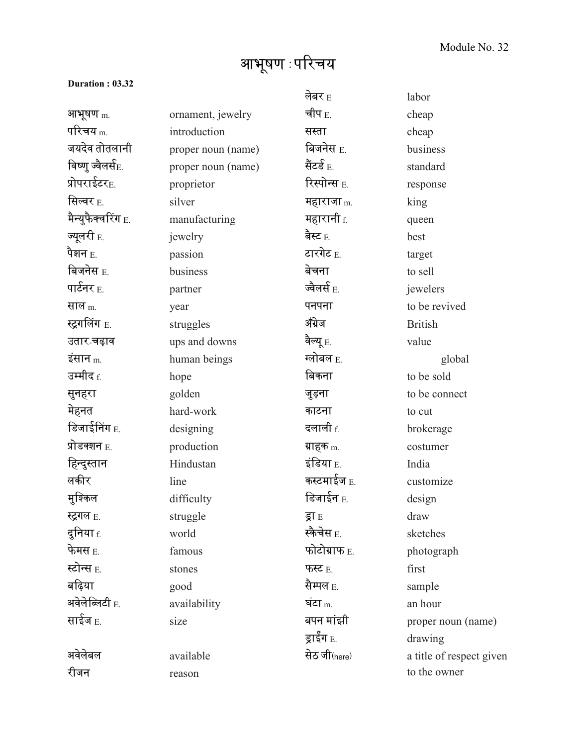## आभूषण : परिचय

## **Duration : 03.32**

|                                  |                    | लेबर $_{\rm E}$         | labor                    |
|----------------------------------|--------------------|-------------------------|--------------------------|
| आभूषण m.                         | ornament, jewelry  | चीप $_{\rm E.}$         | cheap                    |
| परिचय $_{\rm m}$                 | introduction       | सस्ता                   | cheap                    |
| जयदेव तोतलानी                    | proper noun (name) | बिजनेस <sub>E.</sub>    | business                 |
| विष्णु ज्वैलर्स <sub>E.</sub>    | proper noun (name) | सैंटर्ड <sub>E.</sub>   | standard                 |
| प्रोपराईटर <sub>E.</sub>         | proprietor         | रिस्पोन्स <sub>E.</sub> | response                 |
| सिल्वर <sub>E.</sub>             | silver             | महाराजा $_{\text{m}}$   | king                     |
| मैन्युफैक्वरिंग $_{\rm E.}$      | manufacturing      | <b>महारानी</b> f.       | queen                    |
| ज्यूलरी E.                       | jewelry            | बैस्ट $_{\rm E.}$       | best                     |
| पैशन $_{\rm E.}$                 | passion            | टारगेट <sub>E.</sub>    | target                   |
| बिजनेस $_{\rm E.}$               | business           | बेचना                   | to sell                  |
| पार्टनर $_{\rm E.}$              | partner            | ज्वैलर्स $_{\rm E.}$    | jewelers                 |
| साल <sub>m.</sub>                | year               | पनपना                   | to be revived            |
| <b>स्ट्रग</b> लिंग <sub>E.</sub> | struggles          | ॲंग्रेज                 | <b>British</b>           |
| उतार चढ़ाव                       | ups and downs      | वैल्यू $_{\rm E.}$      | value                    |
| इंसान $_{\rm m}$                 | human beings       | ग्लोबल E.               | global                   |
| उम्मीद <sub>f.</sub>             | hope               | बिकना                   | to be sold               |
| सुनहरा                           | golden             | जुड़ना                  | to be connect            |
| मेहनत                            | hard-work          | काटना                   | to cut                   |
| डिजाईनिंग E.                     | designing          | दलाली $_{\rm f.}$       | brokerage                |
| प्रोडक्शन <sub>E.</sub>          | production         | ग्राहक <sub>m.</sub>    | costumer                 |
| हिन्दुस्तान                      | Hindustan          | इंडिया $_{\rm E.}$      | India                    |
| लकीर                             | line               | कस्टमाईज <sub>E.</sub>  | customize                |
| मुश्किल                          | difficulty         | डिजाईन <sub>E.</sub>    | design                   |
| <b>स्ट्रगल</b> E.                | struggle           | ड्रा E                  | draw                     |
| दुनिया f.                        | world              | स्कैचेस <sub>E.</sub>   | sketches                 |
| फेमस $_{\rm E.}$                 | famous             | फोटोग्राफ E.            | photograph               |
| स्टोन्स <sub>E.</sub>            | stones             | फस्ट $E$                | first                    |
| बढ़िया                           | good               | सैम्पल <sub>E.</sub>    | sample                   |
| अवेलेब्लिटी $_{\rm E.}$          | availability       | घंटा $m$                | an hour                  |
| साईज <sub>E.</sub>               | size               | बपन मांझी               | proper noun (name)       |
|                                  |                    | ड्राईग $_{\rm E.}$      | drawing                  |
| अवेलेबल                          | available          | सेठ जी (here)           | a title of respect given |
| रीजन                             | reason             |                         | to the owner             |